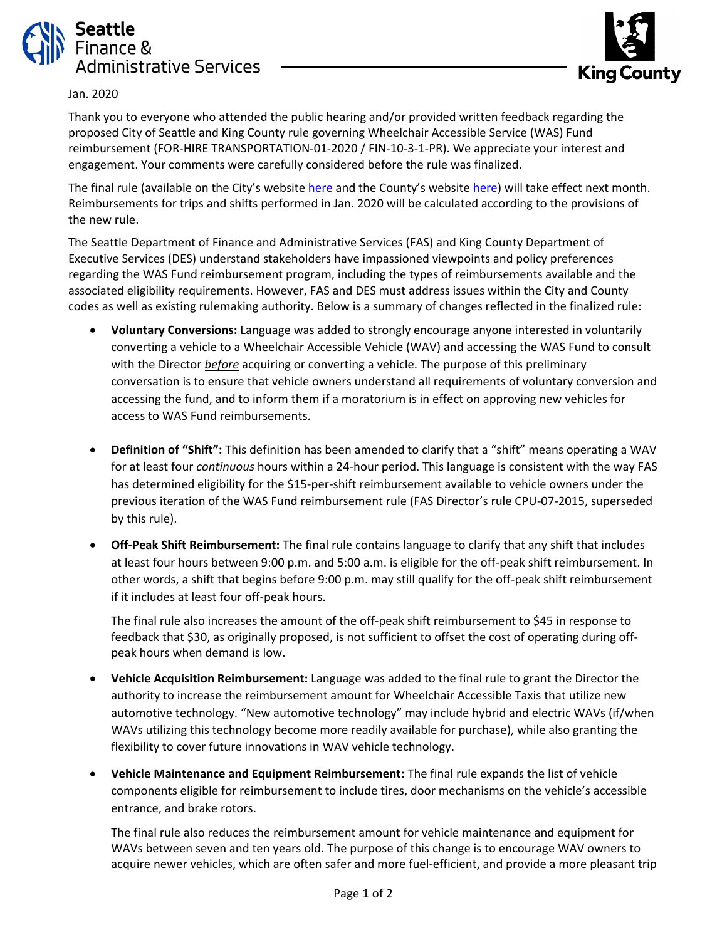



## Jan. 2020

Thank you to everyone who attended the public hearing and/or provided written feedback regarding the proposed City of Seattle and King County rule governing Wheelchair Accessible Service (WAS) Fund reimbursement (FOR-HIRE TRANSPORTATION-01-2020 / FIN-10-3-1-PR). We appreciate your interest and engagement. Your comments were carefully considered before the rule was finalized.

The final rule (available on the City's website [here](https://www.seattle.gov/finance-and-administrative-services/directors-rules#rules-taxi) and the County's website [here\)](https://www.kingcounty.gov/depts/records-licensing/licensing/taxi-for-hire-transportation-networks/notices-regulations.aspx) will take effect next month. Reimbursements for trips and shifts performed in Jan. 2020 will be calculated according to the provisions of the new rule.

The Seattle Department of Finance and Administrative Services (FAS) and King County Department of Executive Services (DES) understand stakeholders have impassioned viewpoints and policy preferences regarding the WAS Fund reimbursement program, including the types of reimbursements available and the associated eligibility requirements. However, FAS and DES must address issues within the City and County codes as well as existing rulemaking authority. Below is a summary of changes reflected in the finalized rule:

- **Voluntary Conversions:** Language was added to strongly encourage anyone interested in voluntarily converting a vehicle to a Wheelchair Accessible Vehicle (WAV) and accessing the WAS Fund to consult with the Director *before* acquiring or converting a vehicle. The purpose of this preliminary conversation is to ensure that vehicle owners understand all requirements of voluntary conversion and accessing the fund, and to inform them if a moratorium is in effect on approving new vehicles for access to WAS Fund reimbursements.
- **Definition of "Shift":** This definition has been amended to clarify that a "shift" means operating a WAV for at least four *continuous* hours within a 24-hour period. This language is consistent with the way FAS has determined eligibility for the \$15-per-shift reimbursement available to vehicle owners under the previous iteration of the WAS Fund reimbursement rule (FAS Director's rule CPU-07-2015, superseded by this rule).
- **Off-Peak Shift Reimbursement:** The final rule contains language to clarify that any shift that includes at least four hours between 9:00 p.m. and 5:00 a.m. is eligible for the off-peak shift reimbursement. In other words, a shift that begins before 9:00 p.m. may still qualify for the off-peak shift reimbursement if it includes at least four off-peak hours.

The final rule also increases the amount of the off-peak shift reimbursement to \$45 in response to feedback that \$30, as originally proposed, is not sufficient to offset the cost of operating during offpeak hours when demand is low.

- **Vehicle Acquisition Reimbursement:** Language was added to the final rule to grant the Director the authority to increase the reimbursement amount for Wheelchair Accessible Taxis that utilize new automotive technology. "New automotive technology" may include hybrid and electric WAVs (if/when WAVs utilizing this technology become more readily available for purchase), while also granting the flexibility to cover future innovations in WAV vehicle technology.
- **Vehicle Maintenance and Equipment Reimbursement:** The final rule expands the list of vehicle components eligible for reimbursement to include tires, door mechanisms on the vehicle's accessible entrance, and brake rotors.

The final rule also reduces the reimbursement amount for vehicle maintenance and equipment for WAVs between seven and ten years old. The purpose of this change is to encourage WAV owners to acquire newer vehicles, which are often safer and more fuel-efficient, and provide a more pleasant trip